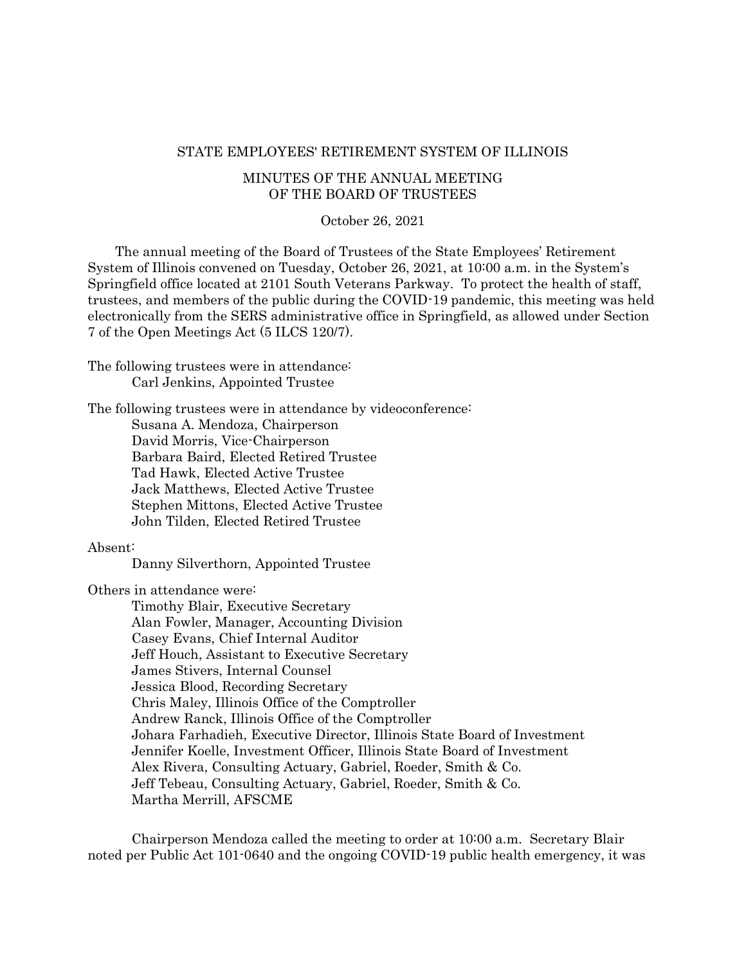#### STATE EMPLOYEES' RETIREMENT SYSTEM OF ILLINOIS

# MINUTES OF THE ANNUAL MEETING OF THE BOARD OF TRUSTEES

#### October 26, 2021

The annual meeting of the Board of Trustees of the State Employees' Retirement System of Illinois convened on Tuesday, October 26, 2021, at 10:00 a.m. in the System's Springfield office located at 2101 South Veterans Parkway. To protect the health of staff, trustees, and members of the public during the COVID-19 pandemic, this meeting was held electronically from the SERS administrative office in Springfield, as allowed under Section 7 of the Open Meetings Act (5 ILCS 120/7).

The following trustees were in attendance: Carl Jenkins, Appointed Trustee

The following trustees were in attendance by videoconference: Susana A. Mendoza, Chairperson David Morris, Vice-Chairperson Barbara Baird, Elected Retired Trustee Tad Hawk, Elected Active Trustee Jack Matthews, Elected Active Trustee Stephen Mittons, Elected Active Trustee John Tilden, Elected Retired Trustee

#### Absent:

Danny Silverthorn, Appointed Trustee

Others in attendance were:

Timothy Blair, Executive Secretary Alan Fowler, Manager, Accounting Division Casey Evans, Chief Internal Auditor Jeff Houch, Assistant to Executive Secretary James Stivers, Internal Counsel Jessica Blood, Recording Secretary Chris Maley, Illinois Office of the Comptroller Andrew Ranck, Illinois Office of the Comptroller Johara Farhadieh, Executive Director, Illinois State Board of Investment Jennifer Koelle, Investment Officer, Illinois State Board of Investment Alex Rivera, Consulting Actuary, Gabriel, Roeder, Smith & Co. Jeff Tebeau, Consulting Actuary, Gabriel, Roeder, Smith & Co. Martha Merrill, AFSCME

Chairperson Mendoza called the meeting to order at 10:00 a.m. Secretary Blair noted per Public Act 101-0640 and the ongoing COVID-19 public health emergency, it was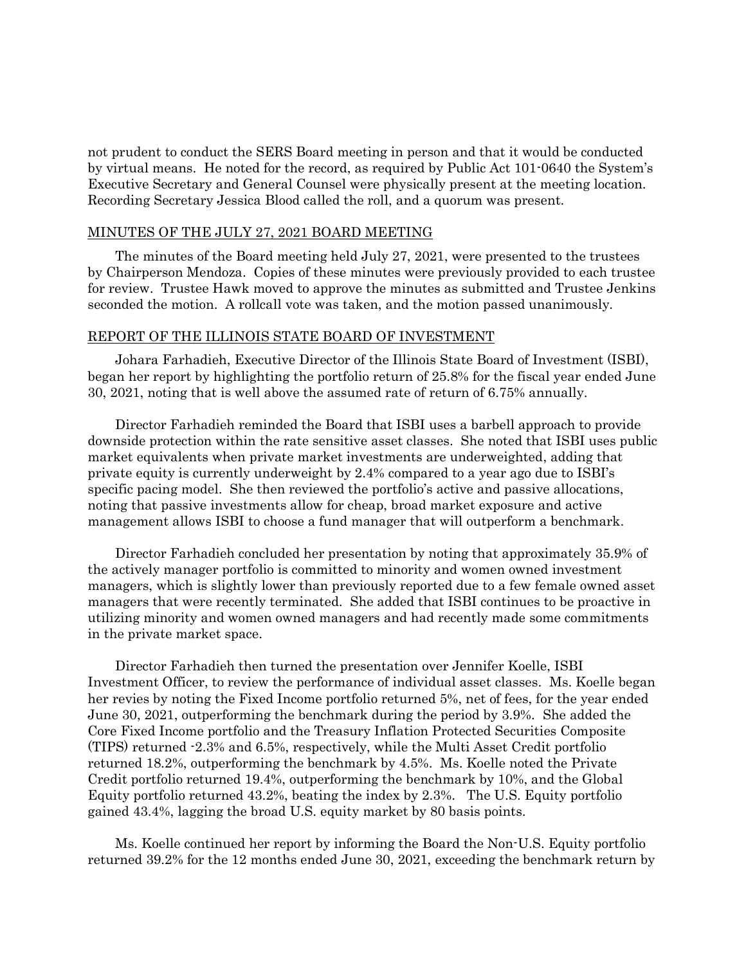not prudent to conduct the SERS Board meeting in person and that it would be conducted by virtual means. He noted for the record, as required by Public Act 101-0640 the System's Executive Secretary and General Counsel were physically present at the meeting location. Recording Secretary Jessica Blood called the roll, and a quorum was present.

#### MINUTES OF THE JULY 27, 2021 BOARD MEETING

The minutes of the Board meeting held July 27, 2021, were presented to the trustees by Chairperson Mendoza. Copies of these minutes were previously provided to each trustee for review. Trustee Hawk moved to approve the minutes as submitted and Trustee Jenkins seconded the motion. A rollcall vote was taken, and the motion passed unanimously.

#### REPORT OF THE ILLINOIS STATE BOARD OF INVESTMENT

Johara Farhadieh, Executive Director of the Illinois State Board of Investment (ISBI), began her report by highlighting the portfolio return of 25.8% for the fiscal year ended June 30, 2021, noting that is well above the assumed rate of return of 6.75% annually.

Director Farhadieh reminded the Board that ISBI uses a barbell approach to provide downside protection within the rate sensitive asset classes. She noted that ISBI uses public market equivalents when private market investments are underweighted, adding that private equity is currently underweight by 2.4% compared to a year ago due to ISBI's specific pacing model. She then reviewed the portfolio's active and passive allocations, noting that passive investments allow for cheap, broad market exposure and active management allows ISBI to choose a fund manager that will outperform a benchmark.

Director Farhadieh concluded her presentation by noting that approximately 35.9% of the actively manager portfolio is committed to minority and women owned investment managers, which is slightly lower than previously reported due to a few female owned asset managers that were recently terminated. She added that ISBI continues to be proactive in utilizing minority and women owned managers and had recently made some commitments in the private market space.

Director Farhadieh then turned the presentation over Jennifer Koelle, ISBI Investment Officer, to review the performance of individual asset classes. Ms. Koelle began her revies by noting the Fixed Income portfolio returned 5%, net of fees, for the year ended June 30, 2021, outperforming the benchmark during the period by 3.9%. She added the Core Fixed Income portfolio and the Treasury Inflation Protected Securities Composite (TIPS) returned -2.3% and 6.5%, respectively, while the Multi Asset Credit portfolio returned 18.2%, outperforming the benchmark by 4.5%. Ms. Koelle noted the Private Credit portfolio returned 19.4%, outperforming the benchmark by 10%, and the Global Equity portfolio returned 43.2%, beating the index by 2.3%. The U.S. Equity portfolio gained 43.4%, lagging the broad U.S. equity market by 80 basis points.

Ms. Koelle continued her report by informing the Board the Non-U.S. Equity portfolio returned 39.2% for the 12 months ended June 30, 2021, exceeding the benchmark return by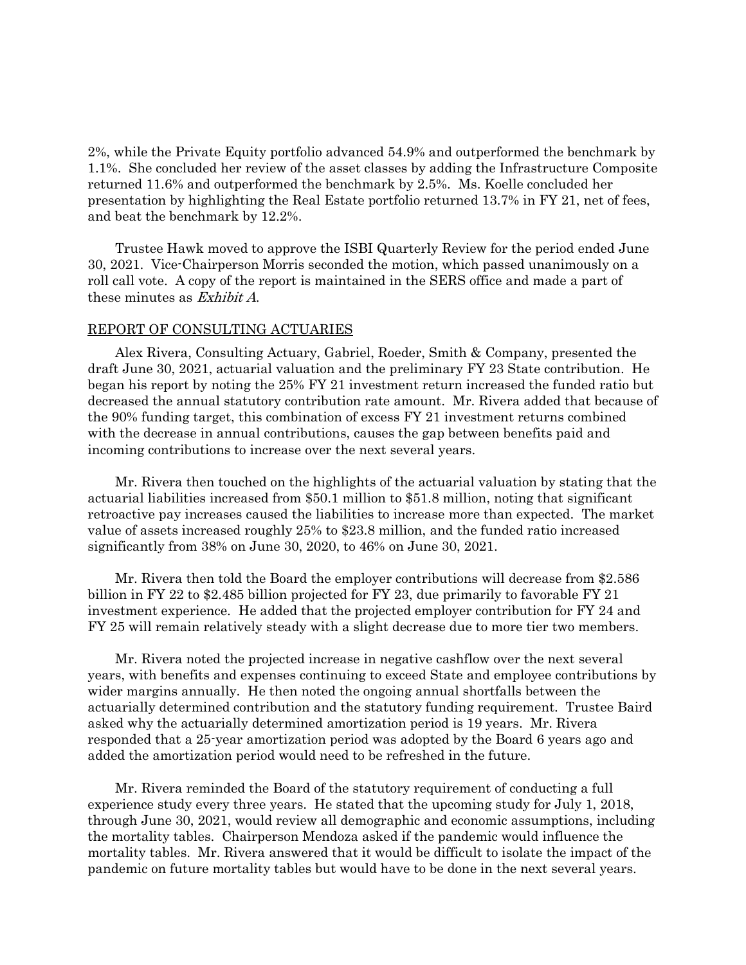2%, while the Private Equity portfolio advanced 54.9% and outperformed the benchmark by 1.1%. She concluded her review of the asset classes by adding the Infrastructure Composite returned 11.6% and outperformed the benchmark by 2.5%. Ms. Koelle concluded her presentation by highlighting the Real Estate portfolio returned 13.7% in FY 21, net of fees, and beat the benchmark by 12.2%.

Trustee Hawk moved to approve the ISBI Quarterly Review for the period ended June 30, 2021. Vice-Chairperson Morris seconded the motion, which passed unanimously on a roll call vote. A copy of the report is maintained in the SERS office and made a part of these minutes as Exhibit A.

## REPORT OF CONSULTING ACTUARIES

Alex Rivera, Consulting Actuary, Gabriel, Roeder, Smith & Company, presented the draft June 30, 2021, actuarial valuation and the preliminary FY 23 State contribution. He began his report by noting the 25% FY 21 investment return increased the funded ratio but decreased the annual statutory contribution rate amount. Mr. Rivera added that because of the 90% funding target, this combination of excess FY 21 investment returns combined with the decrease in annual contributions, causes the gap between benefits paid and incoming contributions to increase over the next several years.

Mr. Rivera then touched on the highlights of the actuarial valuation by stating that the actuarial liabilities increased from \$50.1 million to \$51.8 million, noting that significant retroactive pay increases caused the liabilities to increase more than expected. The market value of assets increased roughly 25% to \$23.8 million, and the funded ratio increased significantly from 38% on June 30, 2020, to 46% on June 30, 2021.

Mr. Rivera then told the Board the employer contributions will decrease from \$2.586 billion in FY 22 to \$2.485 billion projected for FY 23, due primarily to favorable FY 21 investment experience. He added that the projected employer contribution for FY 24 and FY 25 will remain relatively steady with a slight decrease due to more tier two members.

Mr. Rivera noted the projected increase in negative cashflow over the next several years, with benefits and expenses continuing to exceed State and employee contributions by wider margins annually. He then noted the ongoing annual shortfalls between the actuarially determined contribution and the statutory funding requirement. Trustee Baird asked why the actuarially determined amortization period is 19 years. Mr. Rivera responded that a 25-year amortization period was adopted by the Board 6 years ago and added the amortization period would need to be refreshed in the future.

Mr. Rivera reminded the Board of the statutory requirement of conducting a full experience study every three years. He stated that the upcoming study for July 1, 2018, through June 30, 2021, would review all demographic and economic assumptions, including the mortality tables. Chairperson Mendoza asked if the pandemic would influence the mortality tables. Mr. Rivera answered that it would be difficult to isolate the impact of the pandemic on future mortality tables but would have to be done in the next several years.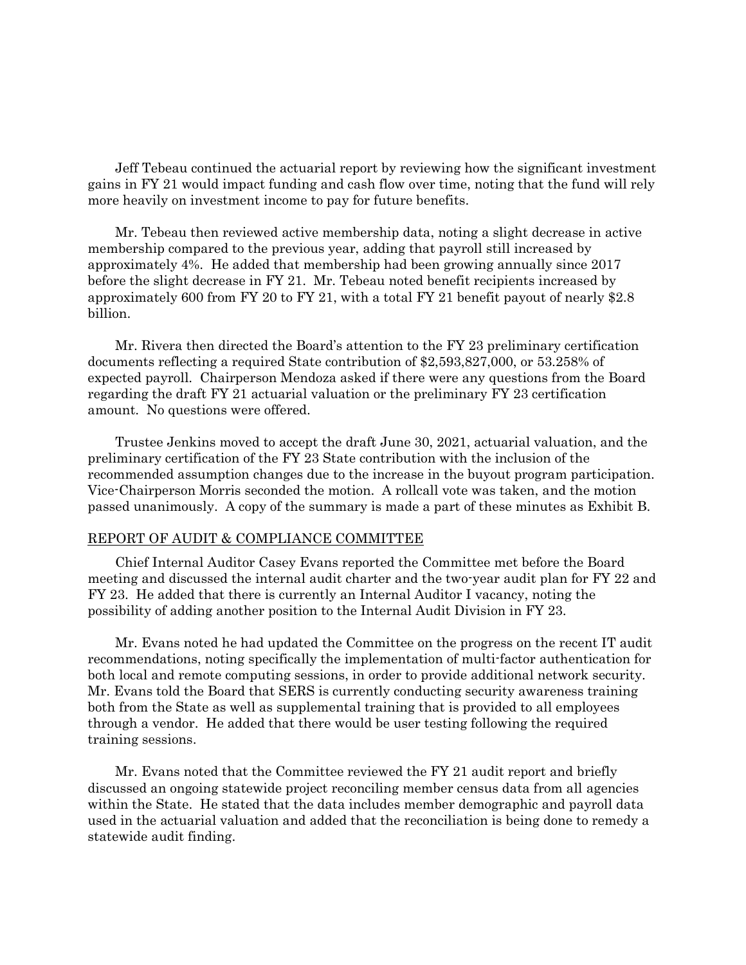Jeff Tebeau continued the actuarial report by reviewing how the significant investment gains in FY 21 would impact funding and cash flow over time, noting that the fund will rely more heavily on investment income to pay for future benefits.

Mr. Tebeau then reviewed active membership data, noting a slight decrease in active membership compared to the previous year, adding that payroll still increased by approximately 4%. He added that membership had been growing annually since 2017 before the slight decrease in FY 21. Mr. Tebeau noted benefit recipients increased by approximately 600 from FY 20 to FY 21, with a total FY 21 benefit payout of nearly \$2.8 billion.

Mr. Rivera then directed the Board's attention to the FY 23 preliminary certification documents reflecting a required State contribution of \$2,593,827,000, or 53.258% of expected payroll. Chairperson Mendoza asked if there were any questions from the Board regarding the draft FY 21 actuarial valuation or the preliminary FY 23 certification amount. No questions were offered.

Trustee Jenkins moved to accept the draft June 30, 2021, actuarial valuation, and the preliminary certification of the FY 23 State contribution with the inclusion of the recommended assumption changes due to the increase in the buyout program participation. Vice-Chairperson Morris seconded the motion. A rollcall vote was taken, and the motion passed unanimously. A copy of the summary is made a part of these minutes as Exhibit B.

#### REPORT OF AUDIT & COMPLIANCE COMMITTEE

Chief Internal Auditor Casey Evans reported the Committee met before the Board meeting and discussed the internal audit charter and the two-year audit plan for FY 22 and FY 23. He added that there is currently an Internal Auditor I vacancy, noting the possibility of adding another position to the Internal Audit Division in FY 23.

Mr. Evans noted he had updated the Committee on the progress on the recent IT audit recommendations, noting specifically the implementation of multi-factor authentication for both local and remote computing sessions, in order to provide additional network security. Mr. Evans told the Board that SERS is currently conducting security awareness training both from the State as well as supplemental training that is provided to all employees through a vendor. He added that there would be user testing following the required training sessions.

Mr. Evans noted that the Committee reviewed the FY 21 audit report and briefly discussed an ongoing statewide project reconciling member census data from all agencies within the State. He stated that the data includes member demographic and payroll data used in the actuarial valuation and added that the reconciliation is being done to remedy a statewide audit finding.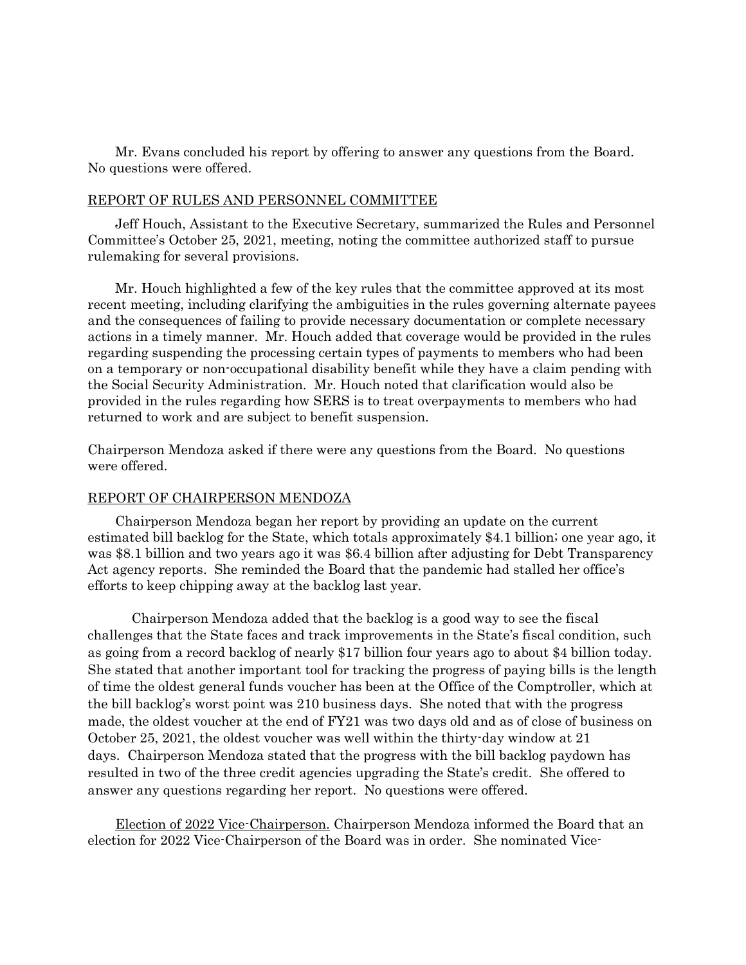Mr. Evans concluded his report by offering to answer any questions from the Board. No questions were offered.

# REPORT OF RULES AND PERSONNEL COMMITTEE

Jeff Houch, Assistant to the Executive Secretary, summarized the Rules and Personnel Committee's October 25, 2021, meeting, noting the committee authorized staff to pursue rulemaking for several provisions.

Mr. Houch highlighted a few of the key rules that the committee approved at its most recent meeting, including clarifying the ambiguities in the rules governing alternate payees and the consequences of failing to provide necessary documentation or complete necessary actions in a timely manner. Mr. Houch added that coverage would be provided in the rules regarding suspending the processing certain types of payments to members who had been on a temporary or non-occupational disability benefit while they have a claim pending with the Social Security Administration. Mr. Houch noted that clarification would also be provided in the rules regarding how SERS is to treat overpayments to members who had returned to work and are subject to benefit suspension.

Chairperson Mendoza asked if there were any questions from the Board. No questions were offered.

#### REPORT OF CHAIRPERSON MENDOZA

Chairperson Mendoza began her report by providing an update on the current estimated bill backlog for the State, which totals approximately \$4.1 billion; one year ago, it was \$8.1 billion and two years ago it was \$6.4 billion after adjusting for Debt Transparency Act agency reports. She reminded the Board that the pandemic had stalled her office's efforts to keep chipping away at the backlog last year.

Chairperson Mendoza added that the backlog is a good way to see the fiscal challenges that the State faces and track improvements in the State's fiscal condition, such as going from a record backlog of nearly \$17 billion four years ago to about \$4 billion today. She stated that another important tool for tracking the progress of paying bills is the length of time the oldest general funds voucher has been at the Office of the Comptroller, which at the bill backlog's worst point was 210 business days. She noted that with the progress made, the oldest voucher at the end of FY21 was two days old and as of close of business on October 25, 2021, the oldest voucher was well within the thirty-day window at 21 days. Chairperson Mendoza stated that the progress with the bill backlog paydown has resulted in two of the three credit agencies upgrading the State's credit. She offered to answer any questions regarding her report. No questions were offered.

Election of 2022 Vice-Chairperson. Chairperson Mendoza informed the Board that an election for 2022 Vice-Chairperson of the Board was in order. She nominated Vice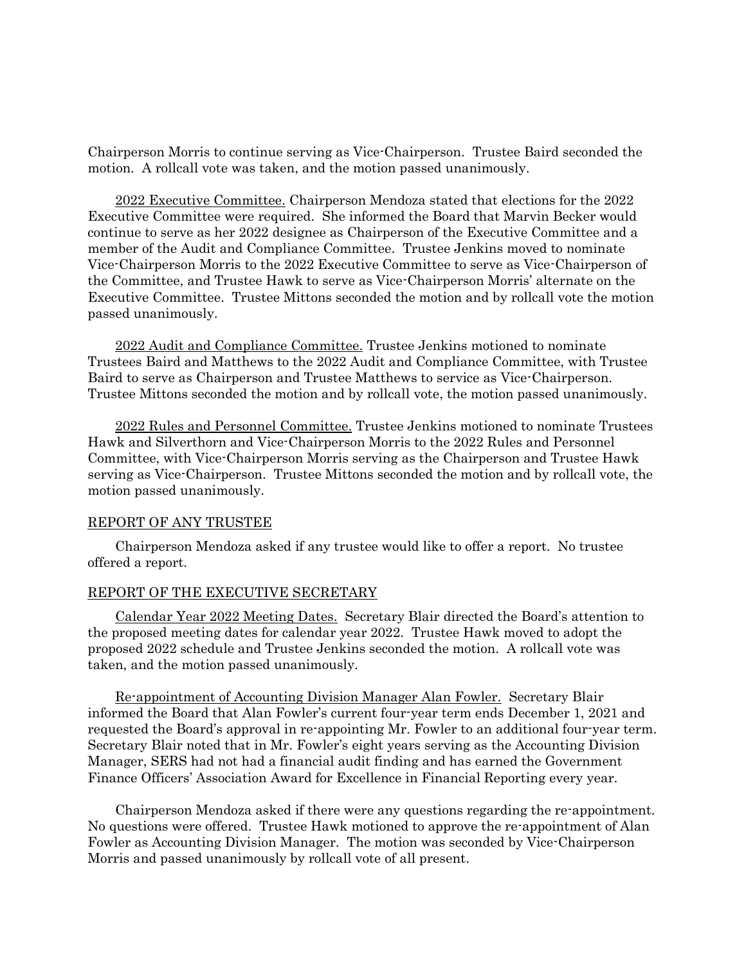Chairperson Morris to continue serving as Vice-Chairperson. Trustee Baird seconded the motion. A rollcall vote was taken, and the motion passed unanimously.

2022 Executive Committee. Chairperson Mendoza stated that elections for the 2022 Executive Committee were required. She informed the Board that Marvin Becker would continue to serve as her 2022 designee as Chairperson of the Executive Committee and a member of the Audit and Compliance Committee. Trustee Jenkins moved to nominate Vice-Chairperson Morris to the 2022 Executive Committee to serve as Vice-Chairperson of the Committee, and Trustee Hawk to serve as Vice-Chairperson Morris' alternate on the Executive Committee. Trustee Mittons seconded the motion and by rollcall vote the motion passed unanimously.

2022 Audit and Compliance Committee. Trustee Jenkins motioned to nominate Trustees Baird and Matthews to the 2022 Audit and Compliance Committee, with Trustee Baird to serve as Chairperson and Trustee Matthews to service as Vice-Chairperson. Trustee Mittons seconded the motion and by rollcall vote, the motion passed unanimously.

2022 Rules and Personnel Committee. Trustee Jenkins motioned to nominate Trustees Hawk and Silverthorn and Vice-Chairperson Morris to the 2022 Rules and Personnel Committee, with Vice-Chairperson Morris serving as the Chairperson and Trustee Hawk serving as Vice-Chairperson. Trustee Mittons seconded the motion and by rollcall vote, the motion passed unanimously.

#### REPORT OF ANY TRUSTEE

Chairperson Mendoza asked if any trustee would like to offer a report. No trustee offered a report.

## REPORT OF THE EXECUTIVE SECRETARY

Calendar Year 2022 Meeting Dates. Secretary Blair directed the Board's attention to the proposed meeting dates for calendar year 2022. Trustee Hawk moved to adopt the proposed 2022 schedule and Trustee Jenkins seconded the motion. A rollcall vote was taken, and the motion passed unanimously.

Re-appointment of Accounting Division Manager Alan Fowler. Secretary Blair informed the Board that Alan Fowler's current four-year term ends December 1, 2021 and requested the Board's approval in re-appointing Mr. Fowler to an additional four-year term. Secretary Blair noted that in Mr. Fowler's eight years serving as the Accounting Division Manager, SERS had not had a financial audit finding and has earned the Government Finance Officers' Association Award for Excellence in Financial Reporting every year.

Chairperson Mendoza asked if there were any questions regarding the re-appointment. No questions were offered. Trustee Hawk motioned to approve the re-appointment of Alan Fowler as Accounting Division Manager. The motion was seconded by Vice-Chairperson Morris and passed unanimously by rollcall vote of all present.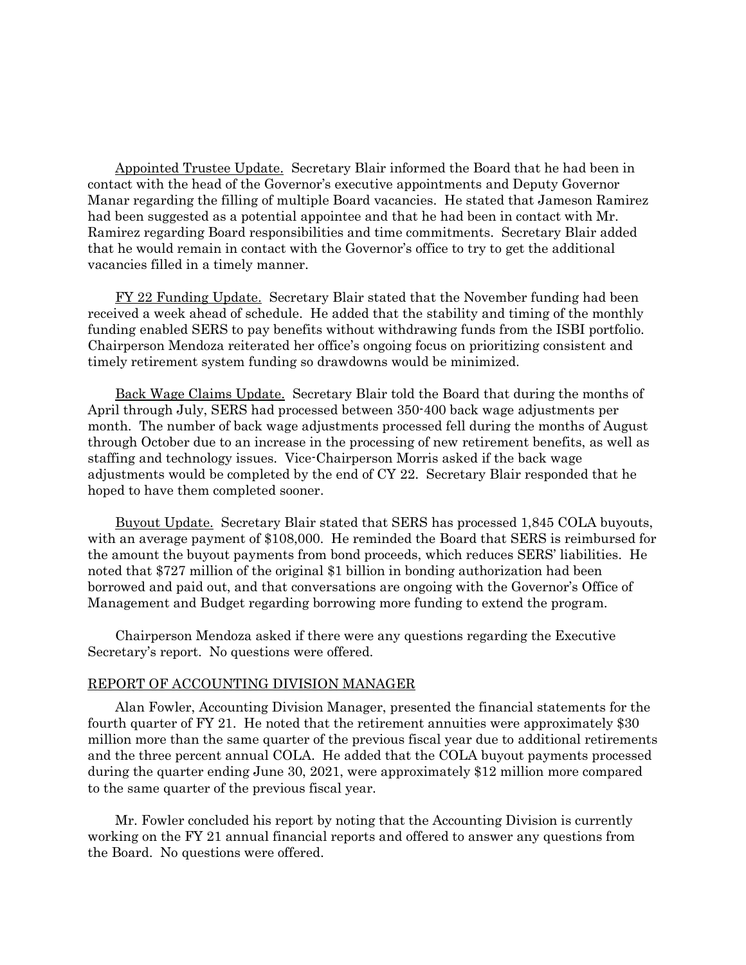Appointed Trustee Update. Secretary Blair informed the Board that he had been in contact with the head of the Governor's executive appointments and Deputy Governor Manar regarding the filling of multiple Board vacancies. He stated that Jameson Ramirez had been suggested as a potential appointee and that he had been in contact with Mr. Ramirez regarding Board responsibilities and time commitments. Secretary Blair added that he would remain in contact with the Governor's office to try to get the additional vacancies filled in a timely manner.

FY 22 Funding Update. Secretary Blair stated that the November funding had been received a week ahead of schedule. He added that the stability and timing of the monthly funding enabled SERS to pay benefits without withdrawing funds from the ISBI portfolio. Chairperson Mendoza reiterated her office's ongoing focus on prioritizing consistent and timely retirement system funding so drawdowns would be minimized.

Back Wage Claims Update. Secretary Blair told the Board that during the months of April through July, SERS had processed between 350-400 back wage adjustments per month. The number of back wage adjustments processed fell during the months of August through October due to an increase in the processing of new retirement benefits, as well as staffing and technology issues. Vice-Chairperson Morris asked if the back wage adjustments would be completed by the end of CY 22. Secretary Blair responded that he hoped to have them completed sooner.

Buyout Update. Secretary Blair stated that SERS has processed 1,845 COLA buyouts, with an average payment of \$108,000. He reminded the Board that SERS is reimbursed for the amount the buyout payments from bond proceeds, which reduces SERS' liabilities. He noted that \$727 million of the original \$1 billion in bonding authorization had been borrowed and paid out, and that conversations are ongoing with the Governor's Office of Management and Budget regarding borrowing more funding to extend the program.

Chairperson Mendoza asked if there were any questions regarding the Executive Secretary's report. No questions were offered.

## REPORT OF ACCOUNTING DIVISION MANAGER

Alan Fowler, Accounting Division Manager, presented the financial statements for the fourth quarter of FY 21. He noted that the retirement annuities were approximately \$30 million more than the same quarter of the previous fiscal year due to additional retirements and the three percent annual COLA. He added that the COLA buyout payments processed during the quarter ending June 30, 2021, were approximately \$12 million more compared to the same quarter of the previous fiscal year.

Mr. Fowler concluded his report by noting that the Accounting Division is currently working on the FY 21 annual financial reports and offered to answer any questions from the Board. No questions were offered.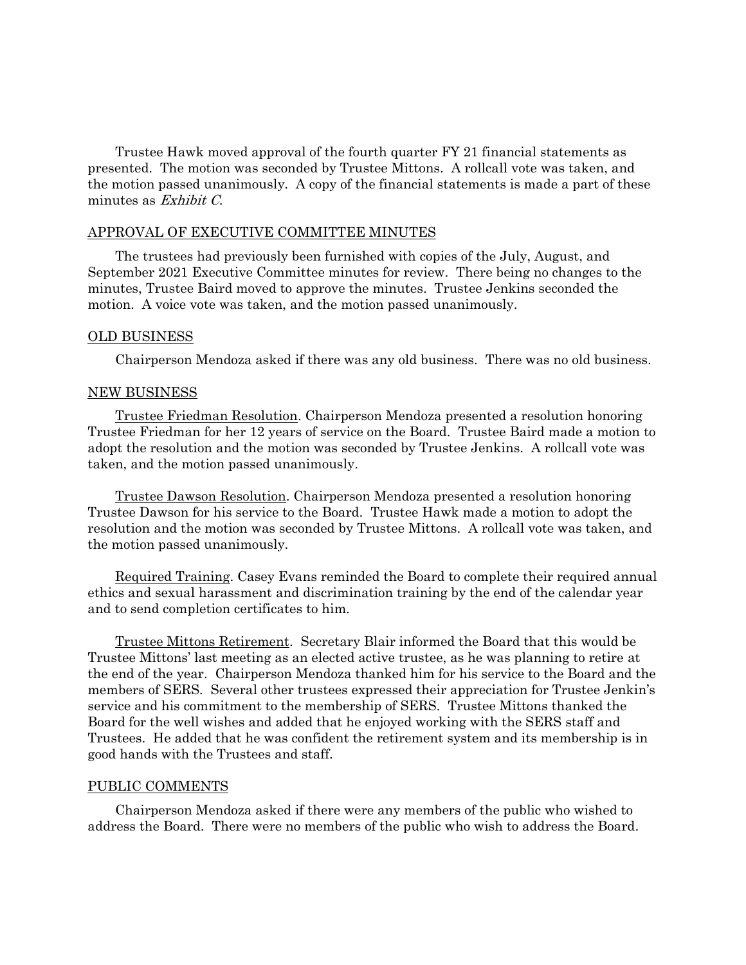Trustee Hawk moved approval of the fourth quarter FY 21 financial statements as presented. The motion was seconded by Trustee Mittons. A rollcall vote was taken, and the motion passed unanimously. A copy of the financial statements is made a part of these minutes as Exhibit C.

## APPROVAL OF EXECUTIVE COMMITTEE MINUTES

The trustees had previously been furnished with copies of the July, August, and September 2021 Executive Committee minutes for review. There being no changes to the minutes, Trustee Baird moved to approve the minutes. Trustee Jenkins seconded the motion. A voice vote was taken, and the motion passed unanimously.

## OLD BUSINESS

Chairperson Mendoza asked if there was any old business. There was no old business.

## NEW BUSINESS

Trustee Friedman Resolution. Chairperson Mendoza presented a resolution honoring Trustee Friedman for her 12 years of service on the Board. Trustee Baird made a motion to adopt the resolution and the motion was seconded by Trustee Jenkins. A rollcall vote was taken, and the motion passed unanimously.

Trustee Dawson Resolution. Chairperson Mendoza presented a resolution honoring Trustee Dawson for his service to the Board. Trustee Hawk made a motion to adopt the resolution and the motion was seconded by Trustee Mittons. A rollcall vote was taken, and the motion passed unanimously.

Required Training. Casey Evans reminded the Board to complete their required annual ethics and sexual harassment and discrimination training by the end of the calendar year and to send completion certificates to him.

Trustee Mittons Retirement. Secretary Blair informed the Board that this would be Trustee Mittons' last meeting as an elected active trustee, as he was planning to retire at the end of the year. Chairperson Mendoza thanked him for his service to the Board and the members of SERS. Several other trustees expressed their appreciation for Trustee Jenkin's service and his commitment to the membership of SERS. Trustee Mittons thanked the Board for the well wishes and added that he enjoyed working with the SERS staff and Trustees. He added that he was confident the retirement system and its membership is in good hands with the Trustees and staff.

## PUBLIC COMMENTS

Chairperson Mendoza asked if there were any members of the public who wished to address the Board. There were no members of the public who wish to address the Board.